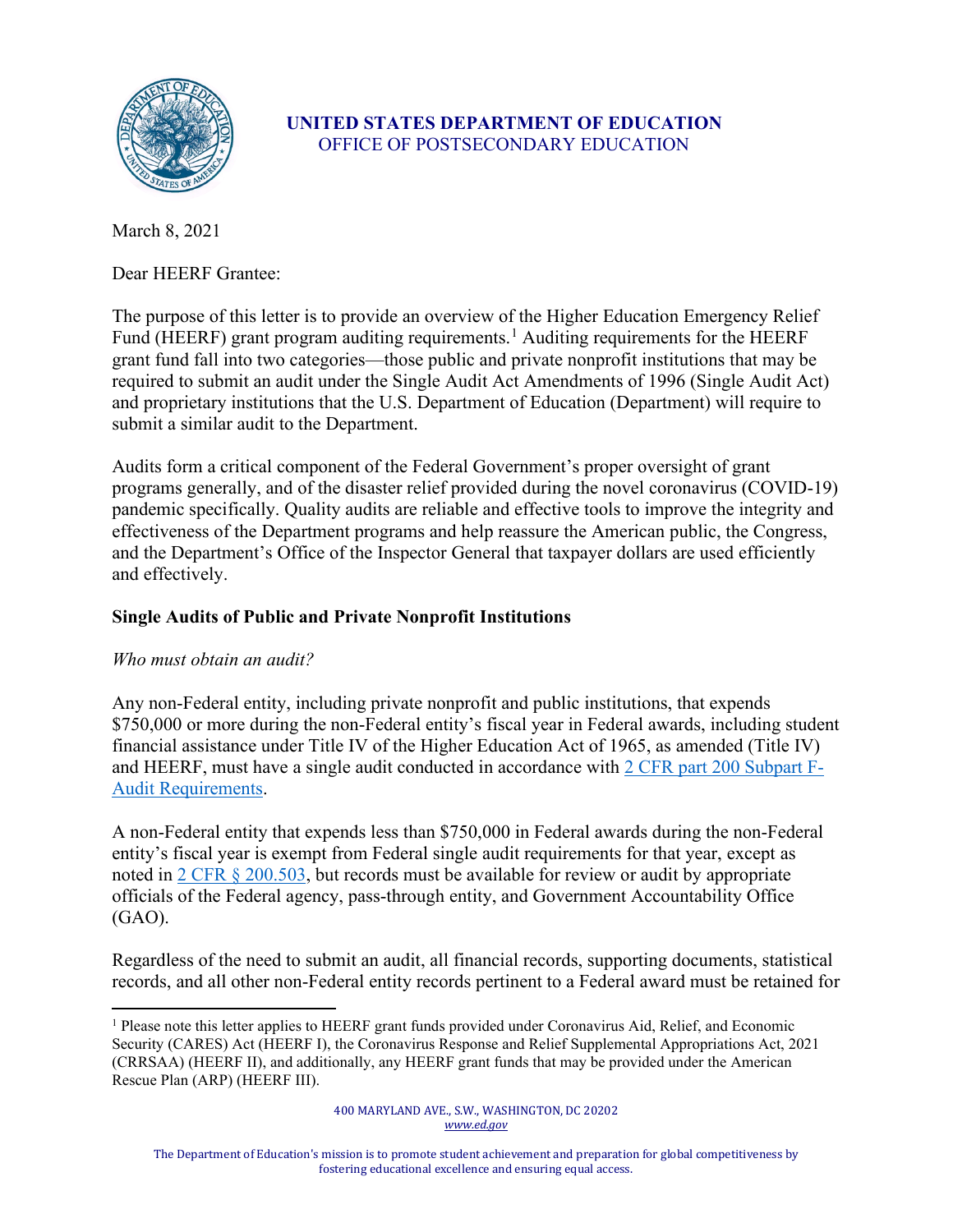

# **UNITED STATES DEPARTMENT OF EDUCATION** OFFICE OF POSTSECONDARY EDUCATION

March 8, 2021

Dear HEERF Grantee:

The purpose of this letter is to provide an overview of the Higher Education Emergency Relief Fund (HEERF) grant program auditing requirements.<sup>[1](#page-0-0)</sup> Auditing requirements for the HEERF grant fund fall into two categories—those public and private nonprofit institutions that may be required to submit an audit under the Single Audit Act Amendments of 1996 (Single Audit Act) and proprietary institutions that the U.S. Department of Education (Department) will require to submit a similar audit to the Department.

Audits form a critical component of the Federal Government's proper oversight of grant programs generally, and of the disaster relief provided during the novel coronavirus (COVID-19) pandemic specifically. Quality audits are reliable and effective tools to improve the integrity and effectiveness of the Department programs and help reassure the American public, the Congress, and the Department's Office of the Inspector General that taxpayer dollars are used efficiently and effectively.

# **Single Audits of Public and Private Nonprofit Institutions**

### *Who must obtain an audit?*

Any non-Federal entity, including private nonprofit and public institutions, that expends \$750,000 or more during the non-Federal entity's fiscal year in Federal awards, including student financial assistance under Title IV of the Higher Education Act of 1965, as amended (Title IV) and HEERF, must have a single audit conducted in accordance with 2 [CFR part 200 Subpart F-](https://www.ecfr.gov/cgi-bin/text-idx?SID=6518689070908d36a5bb2b65c51c7cb9&mc=true&node=sp2.1.200.f&rgn=div6)[Audit Requirements.](https://www.ecfr.gov/cgi-bin/text-idx?SID=6518689070908d36a5bb2b65c51c7cb9&mc=true&node=sp2.1.200.f&rgn=div6)

A non-Federal entity that expends less than \$750,000 in Federal awards during the non-Federal entity's fiscal year is exempt from Federal single audit requirements for that year, except as noted in [2 CFR § 200.503,](https://www.ecfr.gov/cgi-bin/text-idx?SID=6518689070908d36a5bb2b65c51c7cb9&mc=true&node=sp2.1.200.f&rgn=div6#se2.1.200_1503) but records must be available for review or audit by appropriate officials of the Federal agency, pass-through entity, and Government Accountability Office (GAO).

Regardless of the need to submit an audit, all financial records, supporting documents, statistical records, and all other non-Federal entity records pertinent to a Federal award must be retained for

<span id="page-0-0"></span><sup>1</sup> Please note this letter applies to HEERF grant funds provided under Coronavirus Aid, Relief, and Economic Security (CARES) Act (HEERF I), the Coronavirus Response and Relief Supplemental Appropriations Act, 2021 (CRRSAA) (HEERF II), and additionally, any HEERF grant funds that may be provided under the American Rescue Plan (ARP) (HEERF III).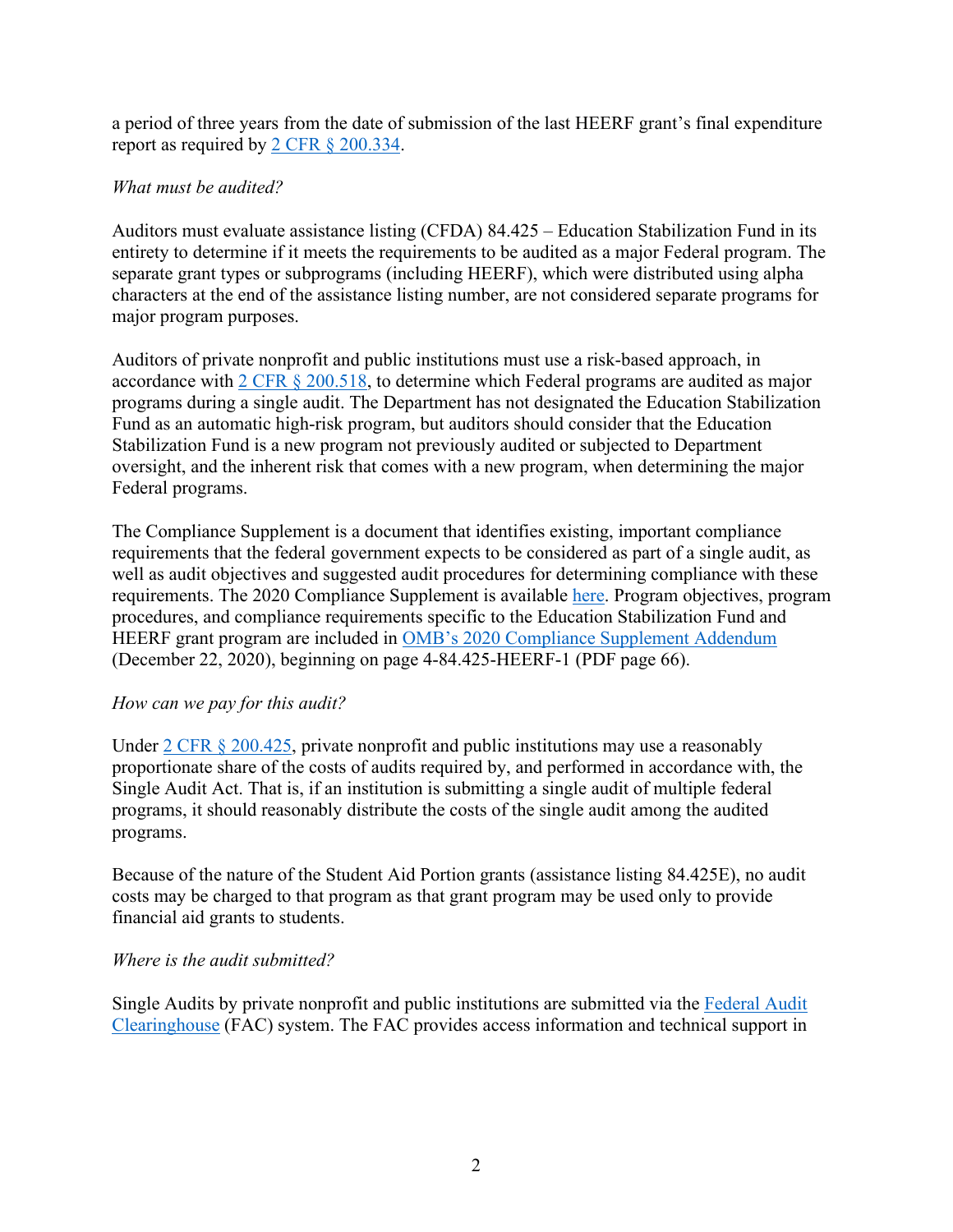a period of three years from the date of submission of the last HEERF grant's final expenditure report as required by [2 CFR § 200.334.](https://www.ecfr.gov/cgi-bin/text-idx?SID=6518689070908d36a5bb2b65c51c7cb9&mc=true&node=se2.1.200_1334&rgn=div8)

# *What must be audited?*

Auditors must evaluate assistance listing (CFDA) 84.425 – Education Stabilization Fund in its entirety to determine if it meets the requirements to be audited as a major Federal program. The separate grant types or subprograms (including HEERF), which were distributed using alpha characters at the end of the assistance listing number, are not considered separate programs for major program purposes.

Auditors of private nonprofit and public institutions must use a risk-based approach, in accordance with [2 CFR § 200.518,](https://www.ecfr.gov/cgi-bin/text-idx?SID=a29093cd60a5ea616f85b4922e2186db&mc=true&node=pt2.1.200&rgn=div5#se2.1.200_1518) to determine which Federal programs are audited as major programs during a single audit. The Department has not designated the Education Stabilization Fund as an automatic high-risk program, but auditors should consider that the Education Stabilization Fund is a new program not previously audited or subjected to Department oversight, and the inherent risk that comes with a new program, when determining the major Federal programs.

The Compliance Supplement is a document that identifies existing, important compliance requirements that the federal government expects to be considered as part of a single audit, as well as audit objectives and suggested audit procedures for determining compliance with these requirements. The 2020 Compliance Supplement is available [here.](https://www.whitehouse.gov/wp-content/uploads/2020/08/2020-Compliance-Supplement_FINAL_08.06.20.pdf) Program objectives, program procedures, and compliance requirements specific to the Education Stabilization Fund and HEERF grant program are included in [OMB's 2020 Compliance Supplement Addendum](https://www.whitehouse.gov/wp-content/uploads/2020/12/2020-Compliance-Supplement-Addendum_Final.pdf) (December 22, 2020), beginning on page 4-84.425-HEERF-1 (PDF page 66).

### *How can we pay for this audit?*

Under 2 CFR  $\S 200.425$ , private nonprofit and public institutions may use a reasonably proportionate share of the costs of audits required by, and performed in accordance with, the Single Audit Act. That is, if an institution is submitting a single audit of multiple federal programs, it should reasonably distribute the costs of the single audit among the audited programs.

Because of the nature of the Student Aid Portion grants (assistance listing 84.425E), no audit costs may be charged to that program as that grant program may be used only to provide financial aid grants to students.

### *Where is the audit submitted?*

Single Audits by private nonprofit and public institutions are submitted via the [Federal Audit](https://facweb.census.gov/)  [Clearinghouse](https://facweb.census.gov/) (FAC) system. The FAC provides access information and technical support in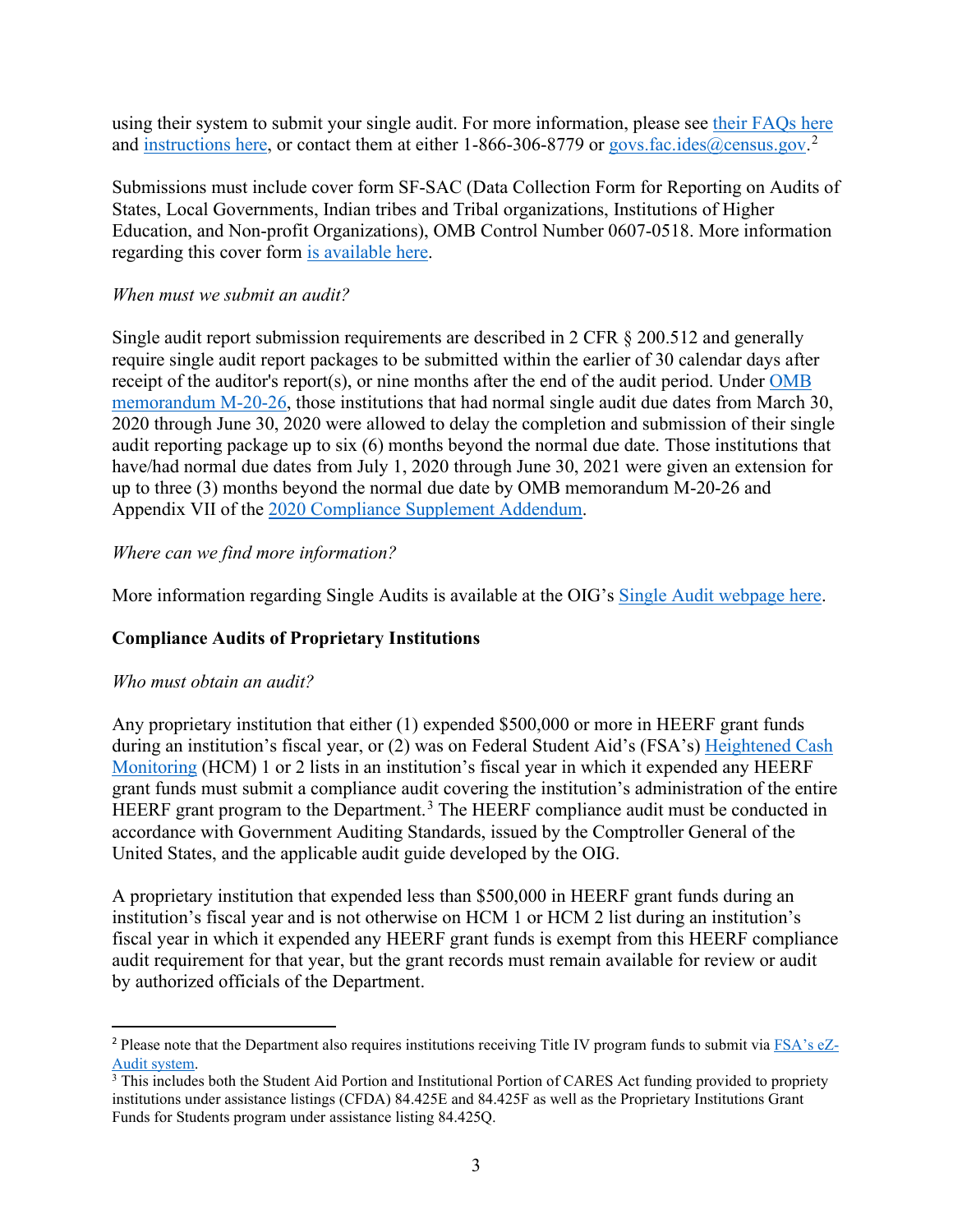using their system to submit your single audit. For more information, please see [their FAQs here](https://facweb.census.gov/FAQs.aspx) and [instructions here,](https://facides.census.gov/InstructionsDocuments.aspx) or contact them at either 1-866-306-8779 or [govs.fac.ides@census.gov.](mailto:govs.fac.ides@census.gov)<sup>[2](#page-2-0)</sup>

Submissions must include cover form SF-SAC (Data Collection Form for Reporting on Audits of States, Local Governments, Indian tribes and Tribal organizations, Institutions of Higher Education, and Non-profit Organizations), OMB Control Number 0607-0518. More information regarding this cover form [is available here.](https://facides.census.gov/Files/2019-2021%20Checklist%20Instructions%20and%20Form.pdf)

#### *When must we submit an audit?*

Single audit report submission requirements are described in 2 CFR § 200.512 and generally require single audit report packages to be submitted within the earlier of 30 calendar days after receipt of the auditor's report(s), or nine months after the end of the audit period. Under OMB [memorandum M-20-26,](https://www.whitehouse.gov/wp-content/uploads/2020/06/M-20-26.pdf) those institutions that had normal single audit due dates from March 30, 2020 through June 30, 2020 were allowed to delay the completion and submission of their single audit reporting package up to six (6) months beyond the normal due date. Those institutions that have/had normal due dates from July 1, 2020 through June 30, 2021 were given an extension for up to three (3) months beyond the normal due date by OMB memorandum M-20-26 and Appendix VII of the [2020 Compliance Supplement Addendum.](https://www.whitehouse.gov/wp-content/uploads/2020/12/2020-Compliance-Supplement-Addendum_Final.pdf)

### *Where can we find more information?*

More information regarding Single Audits is available at the OIG's [Single Audit webpage here.](https://www2.ed.gov/about/offices/list/oig/nonfed/singleaudits.html)

### **Compliance Audits of Proprietary Institutions**

### *Who must obtain an audit?*

Any proprietary institution that either (1) expended \$500,000 or more in HEERF grant funds during an institution's fiscal year, or (2) was on Federal Student Aid's (FSA's) [Heightened Cash](https://studentaid.gov/data-center/school/hcm)  [Monitoring](https://studentaid.gov/data-center/school/hcm) (HCM) 1 or 2 lists in an institution's fiscal year in which it expended any HEERF grant funds must submit a compliance audit covering the institution's administration of the entire HEERF grant program to the Department.<sup>[3](#page-2-1)</sup> The HEERF compliance audit must be conducted in accordance with Government Auditing Standards, issued by the Comptroller General of the United States, and the applicable audit guide developed by the OIG.

A proprietary institution that expended less than \$500,000 in HEERF grant funds during an institution's fiscal year and is not otherwise on HCM 1 or HCM 2 list during an institution's fiscal year in which it expended any HEERF grant funds is exempt from this HEERF compliance audit requirement for that year, but the grant records must remain available for review or audit by authorized officials of the Department.

<span id="page-2-0"></span><sup>&</sup>lt;sup>2</sup> Please note that the Department also requires institutions receiving Title IV program funds to submit via [FSA's eZ-](https://ezaudit.ed.gov/EZWebApp/default.do)Audit [system.](https://ezaudit.ed.gov/EZWebApp/default.do)

<span id="page-2-1"></span><sup>&</sup>lt;sup>3</sup> This includes both the Student Aid Portion and Institutional Portion of CARES Act funding provided to propriety institutions under assistance listings (CFDA) 84.425E and 84.425F as well as the Proprietary Institutions Grant Funds for Students program under assistance listing 84.425Q.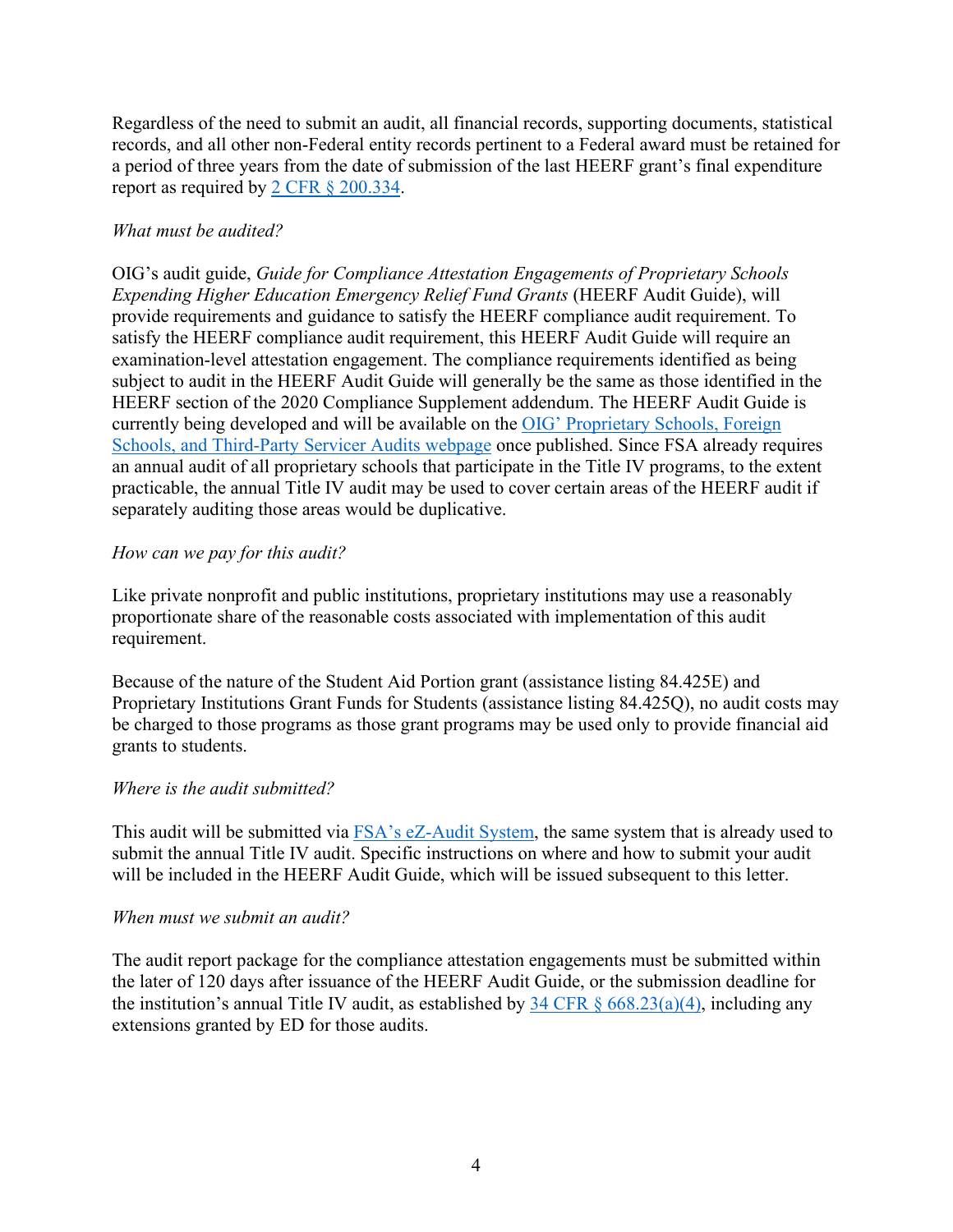Regardless of the need to submit an audit, all financial records, supporting documents, statistical records, and all other non-Federal entity records pertinent to a Federal award must be retained for a period of three years from the date of submission of the last HEERF grant's final expenditure report as required by [2 CFR § 200.334.](https://www.ecfr.gov/cgi-bin/text-idx?SID=6518689070908d36a5bb2b65c51c7cb9&mc=true&node=se2.1.200_1334&rgn=div8)

# *What must be audited?*

OIG's audit guide, *Guide for Compliance Attestation Engagements of Proprietary Schools Expending Higher Education Emergency Relief Fund Grants* (HEERF Audit Guide), will provide requirements and guidance to satisfy the HEERF compliance audit requirement. To satisfy the HEERF compliance audit requirement, this HEERF Audit Guide will require an examination-level attestation engagement. The compliance requirements identified as being subject to audit in the HEERF Audit Guide will generally be the same as those identified in the HEERF section of the 2020 Compliance Supplement addendum. The HEERF Audit Guide is currently being developed and will be available on the OIG' [Proprietary Schools, Foreign](https://www2.ed.gov/about/offices/list/oig/nonfed/proprietary.html)  [Schools, and Third-Party Servicer Audits webpage](https://www2.ed.gov/about/offices/list/oig/nonfed/proprietary.html) once published. Since FSA already requires an annual audit of all proprietary schools that participate in the Title IV programs, to the extent practicable, the annual Title IV audit may be used to cover certain areas of the HEERF audit if separately auditing those areas would be duplicative.

#### *How can we pay for this audit?*

Like private nonprofit and public institutions, proprietary institutions may use a reasonably proportionate share of the reasonable costs associated with implementation of this audit requirement.

Because of the nature of the Student Aid Portion grant (assistance listing 84.425E) and Proprietary Institutions Grant Funds for Students (assistance listing 84.425Q), no audit costs may be charged to those programs as those grant programs may be used only to provide financial aid grants to students.

### *Where is the audit submitted?*

This audit will be submitted via [FSA's eZ-Audit System,](https://ezaudit.ed.gov/EZWebApp/default.do) the same system that is already used to submit the annual Title IV audit. Specific instructions on where and how to submit your audit will be included in the HEERF Audit Guide, which will be issued subsequent to this letter.

#### *When must we submit an audit?*

The audit report package for the compliance attestation engagements must be submitted within the later of 120 days after issuance of the HEERF Audit Guide, or the submission deadline for the institution's annual Title IV audit, as established by  $34 \text{ CFR} \, \text{\&} 668.23(a)(4)$ , including any extensions granted by ED for those audits.